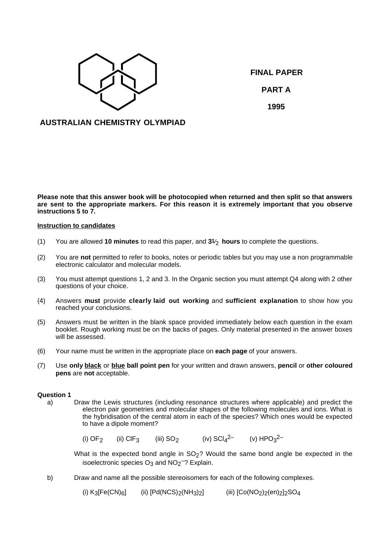

**FINAL PAPER PART A 1995**

## **AUSTRALIAN CHEMISTRY OLYMPIAD**

**Please note that this answer book will be photocopied when returned and then split so that answers are sent to the appropriate markers. For this reason it is extremely important that you observe instructions 5 to 7.**

## **Instruction to candidates**

- (1) You are allowed **10 minutes** to read this paper, and **31**⁄ <sup>2</sup> **hours** to complete the questions.
- (2) You are **not** permitted to refer to books, notes or periodic tables but you may use a non programmable electronic calculator and molecular models.
- (3) You must attempt questions 1, 2 and 3. In the Organic section you must attempt Q4 along with 2 other questions of your choice.
- (4) Answers **must** provide **clearly laid out working** and **sufficient explanation** to show how you reached your conclusions.
- (5) Answers must be written in the blank space provided immediately below each question in the exam booklet. Rough working must be on the backs of pages. Only material presented in the answer boxes will be assessed.
- (6) Your name must be written in the appropriate place on **each page** of your answers.
- (7) Use **only black** or **blue ball point pen** for your written and drawn answers, **pencil** or **other coloured pens** are **not** acceptable.

#### **Question 1**

a) Draw the Lewis structures (including resonance structures where applicable) and predict the electron pair geometries and molecular shapes of the following molecules and ions. What is the hybridisation of the central atom in each of the species? Which ones would be expected to have a dipole moment?

(i) OF<sub>2</sub> (ii) ClF<sub>3</sub> (iii) SO<sub>2</sub> (iv) SCl<sub>4</sub><sup>2–</sup> (v) HPO<sub>3</sub><sup>2–</sup>

What is the expected bond angle in  $SO<sub>2</sub>$ ? Would the same bond angle be expected in the isoelectronic species  $O_3$  and  $NO_2$ <sup>-</sup>? Explain.

b) Draw and name all the possible stereoisomers for each of the following complexes.

(i)  $K_3[Fe(CN)_6]$  (ii)  $[Pd(NCS)_2(NH_3)_2]$  (iii)  $[Co(NO_2)_2(en)_2]_2SO_4$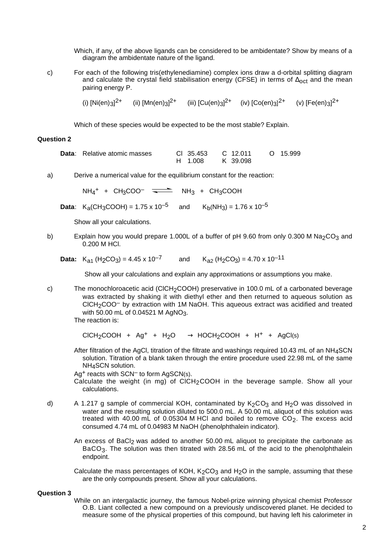Which, if any, of the above ligands can be considered to be ambidentate? Show by means of a diagram the ambidentate nature of the ligand.

c) For each of the following tris(ethylenediamine) complex ions draw a d-orbital splitting diagram and calculate the crystal field stabilisation energy (CFSE) in terms of  $\Delta_{\text{oct}}$  and the mean pairing energy P.

(i) [Ni(en)<sub>3</sub>]<sup>2+</sup> (ii) [Mn(en)<sub>3</sub>]<sup>2+</sup> (iii) [Cu(en)<sub>3</sub>]<sup>2+</sup> (iv) [Co(en)<sub>3</sub>]<sup>2+</sup> (v) [Fe(en)<sub>3</sub>]<sup>2+</sup>

Which of these species would be expected to be the most stable? Explain.

### **Question 2**

| <b>Data:</b> Relative atomic masses | CI 35.453 | C 12.011 | O 15.999 |
|-------------------------------------|-----------|----------|----------|
|                                     | H 1.008   | K 39.098 |          |

a) Derive a numerical value for the equilibrium constant for the reaction:

 $NH_4$ <sup>+</sup> + CH<sub>3</sub>COO<sup>-</sup>  $\overline{\phantom{1}}$  NH<sub>3</sub> + CH<sub>3</sub>COOH

**Data:** K<sub>a</sub>(CH<sub>3</sub>COOH) = 1.75 x 10<sup>-5</sup> and K<sub>b</sub>(NH<sub>3</sub>) = 1.76 x 10<sup>-5</sup>

Show all your calculations.

b) Explain how you would prepare 1.000L of a buffer of pH 9.60 from only 0.300 M Na<sub>2</sub>CO<sub>3</sub> and 0.200 M HCl.

**Data:** K<sub>a1</sub> (H<sub>2</sub>CO<sub>3</sub>) = 4.45 x 10<sup>-7</sup> and K<sub>a2</sub> (H<sub>2</sub>CO<sub>3</sub>) = 4.70 x 10<sup>-11</sup>

Show all your calculations and explain any approximations or assumptions you make.

c) The monochloroacetic acid (CICH<sub>2</sub>COOH) preservative in 100.0 mL of a carbonated beverage was extracted by shaking it with diethyl ether and then returned to aqueous solution as CICH<sub>2</sub>COO<sup>-</sup> by extraction with 1M NaOH. This aqueous extract was acidified and treated with  $50.00$  mL of 0.04521 M AgNO<sub>3</sub>.

The reaction is:

 $CICH_2COOH + Ag^+ + H_2O \longrightarrow HOCH_2COOH + H^+ + AgCl(s)$ 

After filtration of the AgCl, titration of the filtrate and washings required 10.43 mL of an NH<sub>4</sub>SCN solution. Titration of a blank taken through the entire procedure used 22.98 mL of the same NH<sub>4</sub>SCN solution.

Ag<sup>+</sup> reacts with SCN<sup>-</sup> to form AgSCN(s).

Calculate the weight (in mg) of CICH<sub>2</sub>COOH in the beverage sample. Show all your calculations.

d) A 1.217 g sample of commercial KOH, contaminated by  $K_2CO_3$  and H<sub>2</sub>O was dissolved in water and the resulting solution diluted to 500.0 mL. A 50.00 mL aliquot of this solution was treated with 40.00 mL of 0.05304 M HCl and boiled to remove  $CO<sub>2</sub>$ . The excess acid consumed 4.74 mL of 0.04983 M NaOH (phenolphthalein indicator).

An excess of BaCl<sub>2</sub> was added to another 50.00 mL aliquot to precipitate the carbonate as BaCO<sub>3</sub>. The solution was then titrated with 28.56 mL of the acid to the phenolphthalein endpoint.

Calculate the mass percentages of KOH,  $K<sub>2</sub>CO<sub>3</sub>$  and H<sub>2</sub>O in the sample, assuming that these are the only compounds present. Show all your calculations.

### **Question 3**

While on an intergalactic journey, the famous Nobel-prize winning physical chemist Professor O.B. Liant collected a new compound on a previously undiscovered planet. He decided to measure some of the physical properties of this compound, but having left his calorimeter in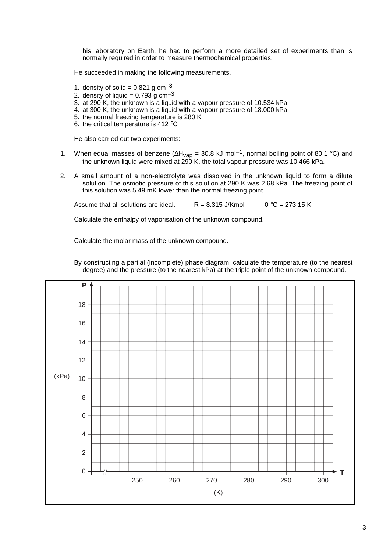his laboratory on Earth, he had to perform a more detailed set of experiments than is normally required in order to measure thermochemical properties.

He succeeded in making the following measurements.

- 1. density of solid =  $0.821$  g cm<sup>-3</sup>
- 2. density of liquid =  $0.793$  g cm<sup>-3</sup>
- 3. at 290 K, the unknown is a liquid with a vapour pressure of 10.534 kPa
- 4. at 300 K, the unknown is a liquid with a vapour pressure of 18.000 kPa
- 5. the normal freezing temperature is 280 K
- 6. the critical temperature is 412 °C

He also carried out two experiments:

- 1. When equal masses of benzene ( $\Delta H_{\rm vap}$  = 30.8 kJ mol<sup>-1</sup>, normal boiling point of 80.1 °C) and the unknown liquid were mixed at 290 K, the total vapour pressure was 10.466 kPa.
- 2. A small amount of a non-electrolyte was dissolved in the unknown liquid to form a dilute solution. The osmotic pressure of this solution at 290 K was 2.68 kPa. The freezing point of this solution was 5.49 mK lower than the normal freezing point.

Assume that all solutions are ideal.  $R = 8.315$  J/Kmol  $0 °C = 273.15$  K

Calculate the enthalpy of vaporisation of the unknown compound.

Calculate the molar mass of the unknown compound.



By constructing a partial (incomplete) phase diagram, calculate the temperature (to the nearest degree) and the pressure (to the nearest kPa) at the triple point of the unknown compound.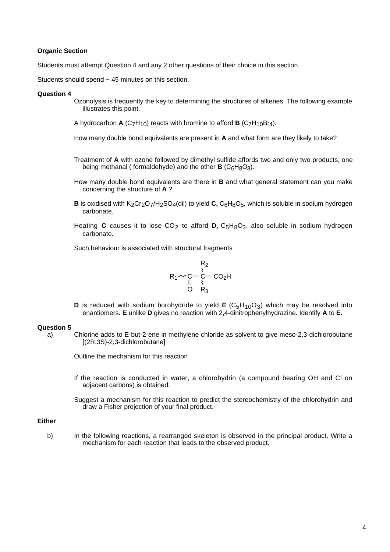## **Organic Section**

Students must attempt Question 4 and any 2 other questions of their choice in this section.

Students should spend  $\sim$  45 minutes on this section.

#### **Question 4**

- Ozonolysis is frequently the key to determining the structures of alkenes. The following example illustrates this point.
- A hydrocarbon **A** (C<sub>7</sub>H<sub>10</sub>) reacts with bromine to afford **B** (C<sub>7</sub>H<sub>10</sub>Br<sub>4</sub>).

How many double bond equivalents are present in **A** and what form are they likely to take?

- Treatment of **A** with ozone followed by dimethyl sulfide affords two and only two products, one being methanal ( formaldehyde) and the other  $\bf{B}$  ( $C_6H_8O_3$ ).
- How many double bond equivalents are there in **B** and what general statement can you make concerning the structure of **A** ?
- **B** is oxidised with K<sub>2</sub>Cr<sub>2</sub>O<sub>7</sub>/H<sub>2</sub>SO<sub>4</sub>(dil) to yield **C**, C<sub>6</sub>H<sub>8</sub>O<sub>5</sub>, which is soluble in sodium hydrogen carbonate.
- Heating **C** causes it to lose  $CO<sub>2</sub>$  to afford **D**,  $C<sub>5</sub>H<sub>8</sub>O<sub>3</sub>$ , also soluble in sodium hydrogen carbonate.

Such behaviour is associated with structural fragments

$$
\begin{array}{@{}c@{\hspace{1em}}c@{\hspace{1em}}}\n & R_2 \\
 & \ast \\
 & R_1 \sim C - C - C - CO_2H \\
 & \uparrow \\
 & O & R_3\n\end{array}
$$

**D** is reduced with sodium borohydride to yield **E** (C<sub>5</sub>H<sub>10</sub>O<sub>3</sub>) which may be resolved into enantiomers. **E** unlike **D** gives no reaction with 2,4-dinitrophenylhydrazine. Identify **A** to **E.**

#### **Question 5**

a) Chlorine adds to E-but-2-ene in methylene chloride as solvent to give meso-2,3-dichlorobutane [(2R,3S)-2,3-dichlorobutane]

Outline the mechanism for this reaction

- If the reaction is conducted in water, a chlorohydrin (a compound bearing OH and Cl on adjacent carbons) is obtained.
- Suggest a mechanism for this reaction to predict the stereochemistry of the chlorohydrin and draw a Fisher projection of your final product.

### **Either**

b) In the following reactions, a rearranged skeleton is observed in the principal product. Write a mechanism for each reaction that leads to the observed product.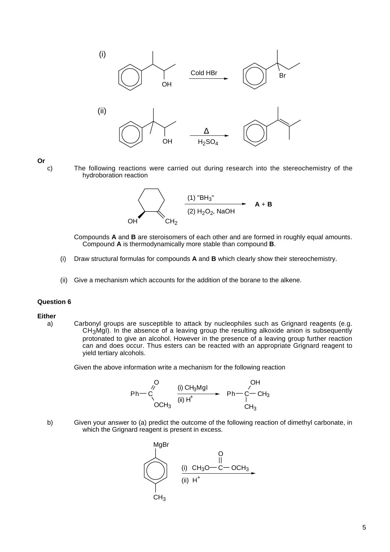

**Or**

c) The following reactions were carried out during research into the stereochemistry of the hydroboration reaction



Compounds **A** and **B** are steroisomers of each other and are formed in roughly equal amounts. Compound **A** is thermodynamically more stable than compound **B**.

- (i) Draw structural formulas for compounds **A** and **B** which clearly show their stereochemistry.
- (ii) Give a mechanism which accounts for the addition of the borane to the alkene.

#### **Question 6**

#### **Either**

a) Carbonyl groups are susceptible to attack by nucleophiles such as Grignard reagents (e.g. CH3MgI). In the absence of a leaving group the resulting alkoxide anion is subsequently protonated to give an alcohol. However in the presence of a leaving group further reaction can and does occur. Thus esters can be reacted with an appropriate Grignard reagent to yield tertiary alcohols.

Given the above information write a mechanism for the following reaction

$$
\begin{array}{ccc}\n & O & OH \\
Ph & O & \xrightarrow{\text{(i) } CH_{3}Mgl} & Ph - C - CH_{3} \\
 & OCH_{3} & & \xrightarrow{\text{(ii) } H^{+}} & Ph - C - CH_{3} \\
 & & & CH_{3} & \\
\end{array}
$$

b) Given your answer to (a) predict the outcome of the following reaction of dimethyl carbonate, in which the Grignard reagent is present in excess.

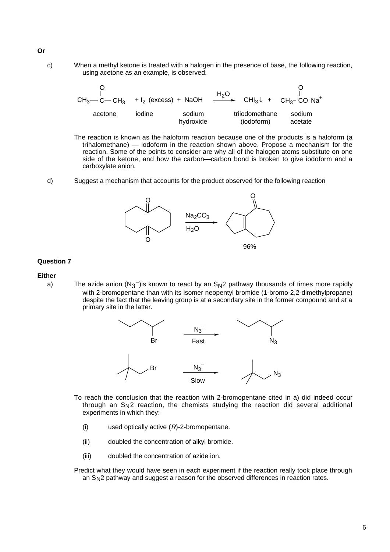c) When a methyl ketone is treated with a halogen in the presence of base, the following reaction, using acetone as an example, is observed.

| $CH_3$ — C— CH <sub>3</sub> + I <sub>2</sub> (excess) + NaOH |        |                     |                              | $\frac{H_2O}{H_3}$ CHI <sub>3</sub> + CH <sub>3</sub> -CO <sup>-</sup> Na <sup>+</sup> |
|--------------------------------------------------------------|--------|---------------------|------------------------------|----------------------------------------------------------------------------------------|
| acetone                                                      | iodine | sodium<br>hydroxide | trijodomethane<br>(iodoform) | sodium<br>acetate                                                                      |

The reaction is known as the haloform reaction because one of the products is a haloform (a trihalomethane) — iodoform in the reaction shown above. Propose a mechanism for the reaction. Some of the points to consider are why all of the halogen atoms substitute on one side of the ketone, and how the carbon—carbon bond is broken to give iodoform and a carboxylate anion.

d) Suggest a mechanism that accounts for the product observed for the following reaction



## **Question 7**

## **Either**

a) The azide anion (N<sub>3</sub><sup>-</sup>)is known to react by an S<sub>N</sub>2 pathway thousands of times more rapidly with 2-bromopentane than with its isomer neopentyl bromide (1-bromo-2,2-dimethylpropane) despite the fact that the leaving group is at a secondary site in the former compound and at a primary site in the latter.



- To reach the conclusion that the reaction with 2-bromopentane cited in a) did indeed occur through an  $S_N$ 2 reaction, the chemists studying the reaction did several additional experiments in which they:
	- (i) used optically active  $(R)$ -2-bromopentane.
	- (ii) doubled the concentration of alkyl bromide.
	- (iii) doubled the concentration of azide ion.

Predict what they would have seen in each experiment if the reaction really took place through an SN2 pathway and suggest a reason for the observed differences in reaction rates.

## **Or**